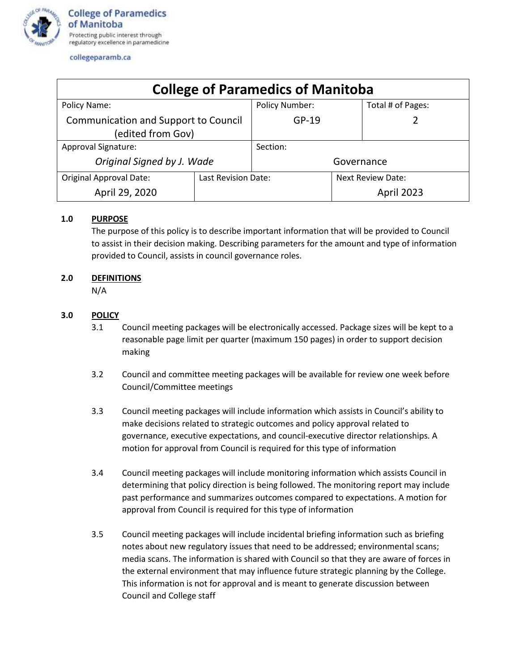

collegeparamb.ca

| <b>College of Paramedics of Manitoba</b>                  |                     |                       |                          |                   |
|-----------------------------------------------------------|---------------------|-----------------------|--------------------------|-------------------|
| Policy Name:                                              |                     | <b>Policy Number:</b> |                          | Total # of Pages: |
| Communication and Support to Council<br>(edited from Gov) |                     | $GP-19$               |                          |                   |
| Approval Signature:                                       |                     | Section:              |                          |                   |
| Original Signed by J. Wade                                |                     | Governance            |                          |                   |
| <b>Original Approval Date:</b>                            | Last Revision Date: |                       | <b>Next Review Date:</b> |                   |
| April 29, 2020                                            |                     |                       |                          | April 2023        |

## **1.0 PURPOSE**

The purpose of this policy is to describe important information that will be provided to Council to assist in their decision making. Describing parameters for the amount and type of information provided to Council, assists in council governance roles.

## **2.0 DEFINITIONS**

N/A

## **3.0 POLICY**

- 3.1 Council meeting packages will be electronically accessed. Package sizes will be kept to a reasonable page limit per quarter (maximum 150 pages) in order to support decision making
- 3.2 Council and committee meeting packages will be available for review one week before Council/Committee meetings
- 3.3 Council meeting packages will include information which assists in Council's ability to make decisions related to strategic outcomes and policy approval related to governance, executive expectations, and council-executive director relationships. A motion for approval from Council is required for this type of information
- 3.4 Council meeting packages will include monitoring information which assists Council in determining that policy direction is being followed. The monitoring report may include past performance and summarizes outcomes compared to expectations. A motion for approval from Council is required for this type of information
- 3.5 Council meeting packages will include incidental briefing information such as briefing notes about new regulatory issues that need to be addressed; environmental scans; media scans. The information is shared with Council so that they are aware of forces in the external environment that may influence future strategic planning by the College. This information is not for approval and is meant to generate discussion between Council and College staff